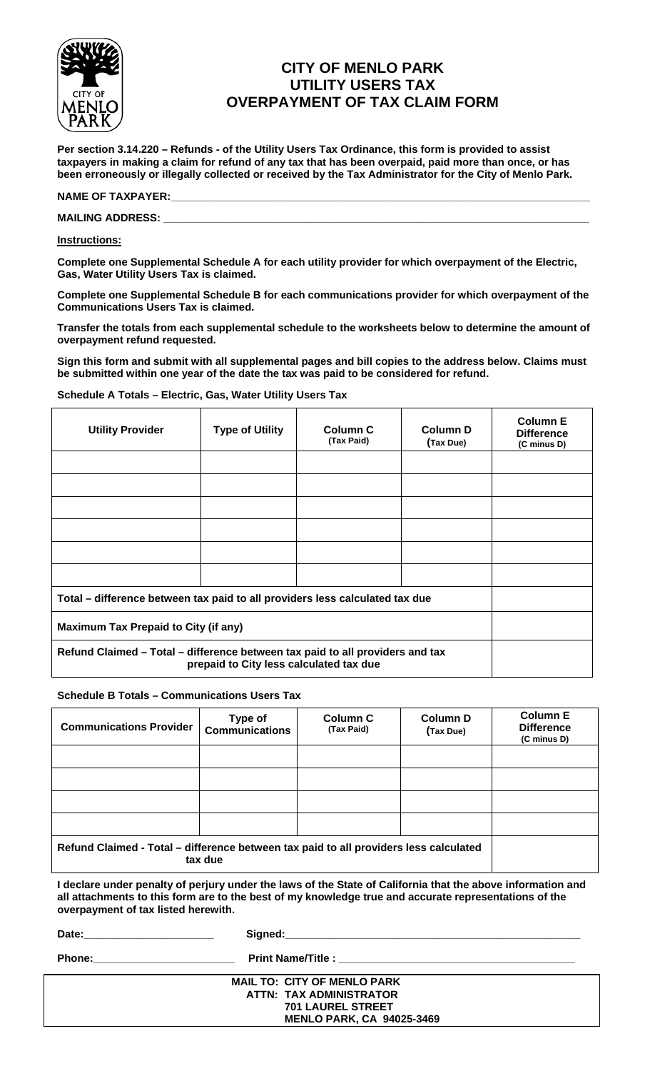

# **CITY OF MENLO PARK UTILITY USERS TAX OVERPAYMENT OF TAX CLAIM FORM**

**Per section 3.14.220 – Refunds - of the Utility Users Tax Ordinance, this form is provided to assist taxpayers in making a claim for refund of any tax that has been overpaid, paid more than once, or has been erroneously or illegally collected or received by the Tax Administrator for the City of Menlo Park.** 

### NAME OF TAXPAYER:

#### **MAILING ADDRESS: \_\_\_\_\_\_\_\_\_\_\_\_\_\_\_\_\_\_\_\_\_\_\_\_\_\_\_\_\_\_\_\_\_\_\_\_\_\_\_\_\_\_\_\_\_\_\_\_\_\_\_\_\_\_\_\_\_\_\_\_\_\_\_\_\_\_\_\_\_\_\_\_**

### **Instructions:**

**Complete one Supplemental Schedule A for each utility provider for which overpayment of the Electric, Gas, Water Utility Users Tax is claimed.** 

**Complete one Supplemental Schedule B for each communications provider for which overpayment of the Communications Users Tax is claimed.** 

**Transfer the totals from each supplemental schedule to the worksheets below to determine the amount of overpayment refund requested.** 

**Sign this form and submit with all supplemental pages and bill copies to the address below. Claims must be submitted within one year of the date the tax was paid to be considered for refund.** 

### **Schedule A Totals – Electric, Gas, Water Utility Users Tax**

| <b>Utility Provider</b>                                                                                                  | <b>Type of Utility</b> | Column <sub>C</sub><br>(Tax Paid) | <b>Column D</b><br>(Tax Due) | <b>Column E</b><br><b>Difference</b><br>(C minus D) |
|--------------------------------------------------------------------------------------------------------------------------|------------------------|-----------------------------------|------------------------------|-----------------------------------------------------|
|                                                                                                                          |                        |                                   |                              |                                                     |
|                                                                                                                          |                        |                                   |                              |                                                     |
|                                                                                                                          |                        |                                   |                              |                                                     |
|                                                                                                                          |                        |                                   |                              |                                                     |
|                                                                                                                          |                        |                                   |                              |                                                     |
|                                                                                                                          |                        |                                   |                              |                                                     |
| Total – difference between tax paid to all providers less calculated tax due                                             |                        |                                   |                              |                                                     |
| <b>Maximum Tax Prepaid to City (if any)</b>                                                                              |                        |                                   |                              |                                                     |
| Refund Claimed - Total - difference between tax paid to all providers and tax<br>prepaid to City less calculated tax due |                        |                                   |                              |                                                     |

### **Schedule B Totals – Communications Users Tax**

| <b>Communications Provider</b>                                                                   | Type of<br><b>Communications</b> | <b>Column C</b><br>(Tax Paid) | <b>Column D</b><br>(Tax Due) | <b>Column E</b><br><b>Difference</b><br>(C minus D) |
|--------------------------------------------------------------------------------------------------|----------------------------------|-------------------------------|------------------------------|-----------------------------------------------------|
|                                                                                                  |                                  |                               |                              |                                                     |
|                                                                                                  |                                  |                               |                              |                                                     |
|                                                                                                  |                                  |                               |                              |                                                     |
|                                                                                                  |                                  |                               |                              |                                                     |
| Refund Claimed - Total - difference between tax paid to all providers less calculated<br>tax due |                                  |                               |                              |                                                     |

**I declare under penalty of perjury under the laws of the State of California that the above information and all attachments to this form are to the best of my knowledge true and accurate representations of the overpayment of tax listed herewith.** 

**Date:\_\_\_\_\_\_\_\_\_\_\_\_\_\_\_\_\_\_\_\_\_\_ Signed:\_\_\_\_\_\_\_\_\_\_\_\_\_\_\_\_\_\_\_\_\_\_\_\_\_\_\_\_\_\_\_\_\_\_\_\_\_\_\_\_\_\_\_\_\_\_\_\_\_\_** 

**Phone:\_\_\_\_\_\_\_\_\_\_\_\_\_\_\_\_\_\_\_\_\_\_\_\_ Print Name/Title : \_\_\_\_\_\_\_\_\_\_\_\_\_\_\_\_\_\_\_\_\_\_\_\_\_\_\_\_\_\_\_\_\_\_\_\_\_\_\_\_** 

| <b>MAIL TO: CITY OF MENLO PARK</b> |
|------------------------------------|
| ATTN: TAX ADMINISTRATOR            |
| <b>701 LAUREL STREET</b>           |
| <b>MENLO PARK, CA 94025-3469</b>   |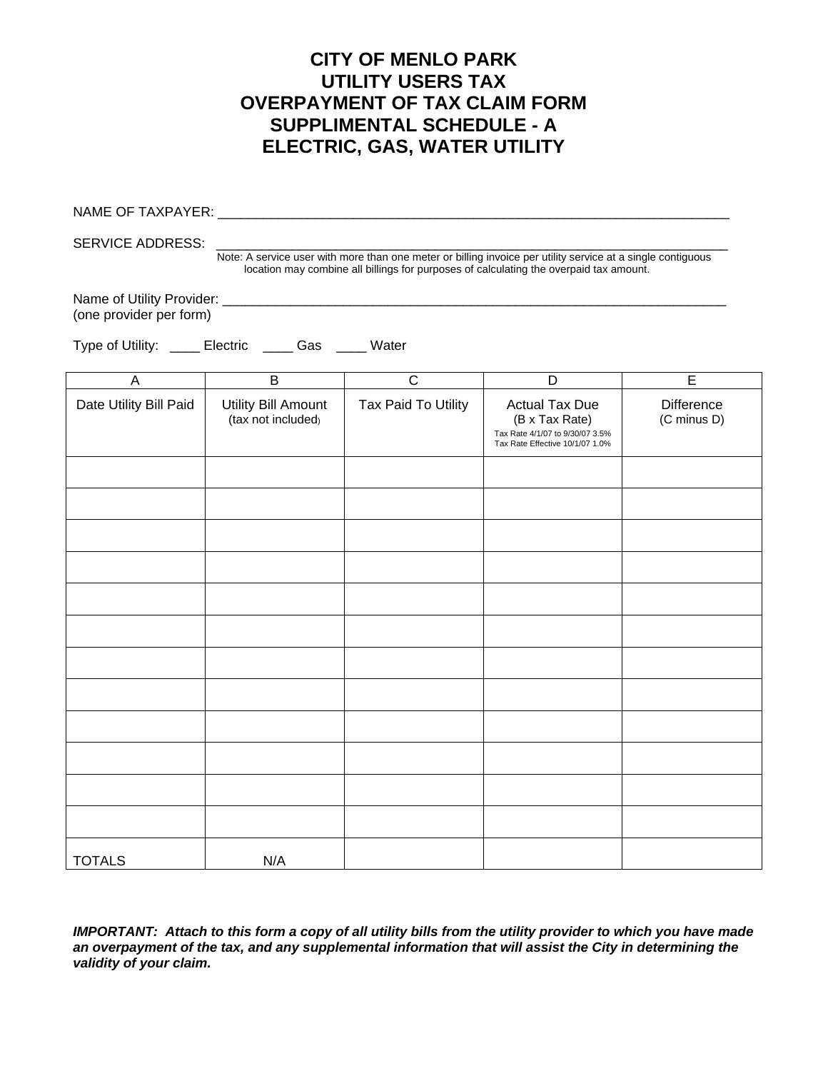# **CITY OF MENLO PARK UTILITY USERS TAX OVERPAYMENT OF TAX CLAIM FORM SUPPLIMENTAL SCHEDULE - A ELECTRIC, GAS, WATER UTILITY**

|                                                                                                                                                                                                                                  | NAME OF TAXPAYER: 2008 2010 2020 2021 2022 2023 2024 2022 2023 2024 2022 2023 2024 2022 2023 2024 2022 2023 20 |                     |                                                                                                               |                                  |  |
|----------------------------------------------------------------------------------------------------------------------------------------------------------------------------------------------------------------------------------|----------------------------------------------------------------------------------------------------------------|---------------------|---------------------------------------------------------------------------------------------------------------|----------------------------------|--|
| <b>SERVICE ADDRESS:</b><br>Note: A service user with more than one meter or billing invoice per utility service at a single contiguous<br>location may combine all billings for purposes of calculating the overpaid tax amount. |                                                                                                                |                     |                                                                                                               |                                  |  |
| (one provider per form)                                                                                                                                                                                                          |                                                                                                                |                     |                                                                                                               |                                  |  |
| Type of Utility: _____ Electric _____ Gas ____ Water                                                                                                                                                                             |                                                                                                                |                     |                                                                                                               |                                  |  |
| $\mathsf A$                                                                                                                                                                                                                      | $\overline{B}$                                                                                                 | $\overline{C}$      | D                                                                                                             | $\overline{E}$                   |  |
| Date Utility Bill Paid                                                                                                                                                                                                           | <b>Utility Bill Amount</b><br>(tax not included)                                                               | Tax Paid To Utility | <b>Actual Tax Due</b><br>(B x Tax Rate)<br>Tax Rate 4/1/07 to 9/30/07 3.5%<br>Tax Rate Effective 10/1/07 1.0% | <b>Difference</b><br>(C minus D) |  |
|                                                                                                                                                                                                                                  |                                                                                                                |                     |                                                                                                               |                                  |  |
|                                                                                                                                                                                                                                  |                                                                                                                |                     |                                                                                                               |                                  |  |
|                                                                                                                                                                                                                                  |                                                                                                                |                     |                                                                                                               |                                  |  |
|                                                                                                                                                                                                                                  |                                                                                                                |                     |                                                                                                               |                                  |  |
|                                                                                                                                                                                                                                  |                                                                                                                |                     |                                                                                                               |                                  |  |
|                                                                                                                                                                                                                                  |                                                                                                                |                     |                                                                                                               |                                  |  |
|                                                                                                                                                                                                                                  |                                                                                                                |                     |                                                                                                               |                                  |  |
|                                                                                                                                                                                                                                  |                                                                                                                |                     |                                                                                                               |                                  |  |
|                                                                                                                                                                                                                                  |                                                                                                                |                     |                                                                                                               |                                  |  |
|                                                                                                                                                                                                                                  |                                                                                                                |                     |                                                                                                               |                                  |  |
|                                                                                                                                                                                                                                  |                                                                                                                |                     |                                                                                                               |                                  |  |
|                                                                                                                                                                                                                                  |                                                                                                                |                     |                                                                                                               |                                  |  |
| <b>TOTALS</b>                                                                                                                                                                                                                    | N/A                                                                                                            |                     |                                                                                                               |                                  |  |

*IMPORTANT: Attach to this form a copy of all utility bills from the utility provider to which you have made an overpayment of the tax, and any supplemental information that will assist the City in determining the validity of your claim.*